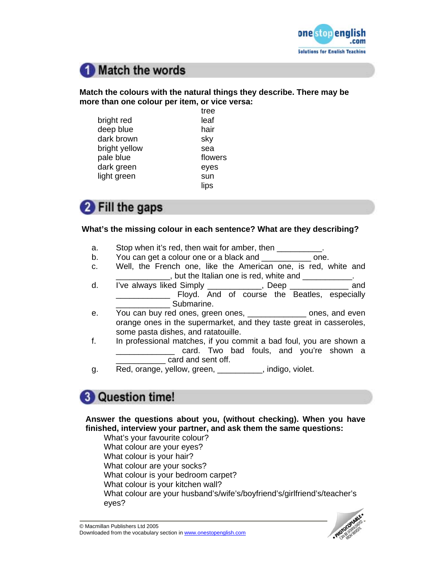

# Match the words

## **Match the colours with the natural things they describe. There may be more than one colour per item, or vice versa:**

|               | tree    |
|---------------|---------|
| bright red    | leaf    |
| deep blue     | hair    |
| dark brown    | sky     |
| bright yellow | sea     |
| pale blue     | flowers |
| dark green    | eyes    |
| light green   | sun     |
|               | lips    |

# **2** Fill the gaps

## **What's the missing colour in each sentence? What are they describing?**

- a. Stop when it's red, then wait for amber, then \_\_\_\_\_\_\_\_\_\_.
- b. You can get a colour one or a black and <u>second</u> one.
- c. Well, the French one, like the American one, is red, white and  $\Box$ , but the Italian one is red, white and  $\Box$
- d. I've always liked Simply \_\_\_\_\_\_\_\_\_\_\_\_, Deep \_\_\_\_\_\_\_\_\_\_\_\_\_ and \_\_\_\_\_\_\_\_\_\_\_\_ Floyd. And of course the Beatles, especially \_\_\_\_\_\_\_\_\_\_\_\_ Submarine.
- e. You can buy red ones, green ones, \_\_\_\_\_\_\_\_\_\_\_\_\_\_\_ ones, and even orange ones in the supermarket, and they taste great in casseroles, some pasta dishes, and ratatouille.
- f. In professional matches, if you commit a bad foul, you are shown a \_\_\_\_\_\_\_\_\_\_\_\_\_ card. Two bad fouls, and you're shown a card and sent off.
- g. Red, orange, yellow, green, \_\_\_\_\_\_\_\_\_\_, indigo, violet.

## **3** Question time!

**Answer the questions about you, (without checking). When you have finished, interview your partner, and ask them the same questions:** 

What's your favourite colour? What colour are your eyes? What colour is your hair? What colour are your socks? What colour is your bedroom carpet? What colour is your kitchen wall? What colour are your husband's/wife's/boyfriend's/girlfriend's/teacher's eyes?

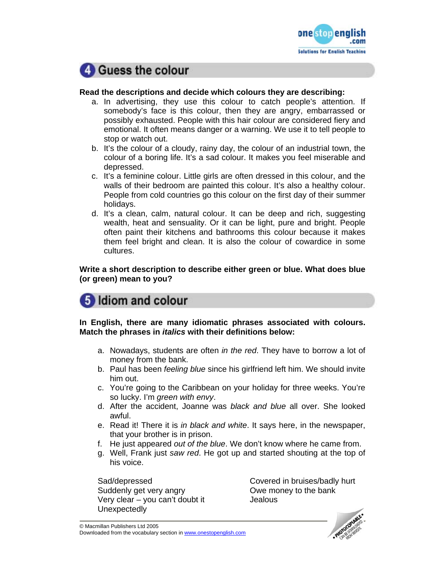



### **Read the descriptions and decide which colours they are describing:**

- a. In advertising, they use this colour to catch people's attention. If somebody's face is this colour, then they are angry, embarrassed or possibly exhausted. People with this hair colour are considered fiery and emotional. It often means danger or a warning. We use it to tell people to stop or watch out.
- b. It's the colour of a cloudy, rainy day, the colour of an industrial town, the colour of a boring life. It's a sad colour. It makes you feel miserable and depressed.
- c. It's a feminine colour. Little girls are often dressed in this colour, and the walls of their bedroom are painted this colour. It's also a healthy colour. People from cold countries go this colour on the first day of their summer holidays.
- d. It's a clean, calm, natural colour. It can be deep and rich, suggesting wealth, heat and sensuality. Or it can be light, pure and bright. People often paint their kitchens and bathrooms this colour because it makes them feel bright and clean. It is also the colour of cowardice in some cultures.

**Write a short description to describe either green or blue. What does blue (or green) mean to you?** 

## 5 Idiom and colour

**In English, there are many idiomatic phrases associated with colours. Match the phrases in** *italics* **with their definitions below:** 

- a. Nowadays, students are often *in the red*. They have to borrow a lot of money from the bank.
- b. Paul has been *feeling blue* since his girlfriend left him. We should invite him out.
- c. You're going to the Caribbean on your holiday for three weeks. You're so lucky. I'm *green with envy*.
- d. After the accident, Joanne was *black and blue* all over. She looked awful.
- e. Read it! There it is *in black and white*. It says here, in the newspaper, that your brother is in prison.
- f. He just appeared *out of the blue*. We don't know where he came from.
- g. Well, Frank just *saw red*. He got up and started shouting at the top of his voice.

Sad/depressed Covered in bruises/badly hurt Suddenly get very angry Suddenly get very angry Suddenly of the bank Very clear – you can't doubt it Jealous Unexpectedly

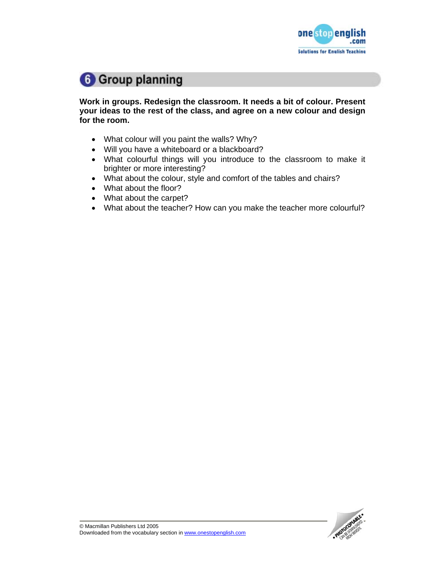

## **6** Group planning

**Work in groups. Redesign the classroom. It needs a bit of colour. Present your ideas to the rest of the class, and agree on a new colour and design for the room.**

- What colour will you paint the walls? Why?
- Will you have a whiteboard or a blackboard?
- What colourful things will you introduce to the classroom to make it brighter or more interesting?
- What about the colour, style and comfort of the tables and chairs?
- What about the floor?
- What about the carpet?
- What about the teacher? How can you make the teacher more colourful?